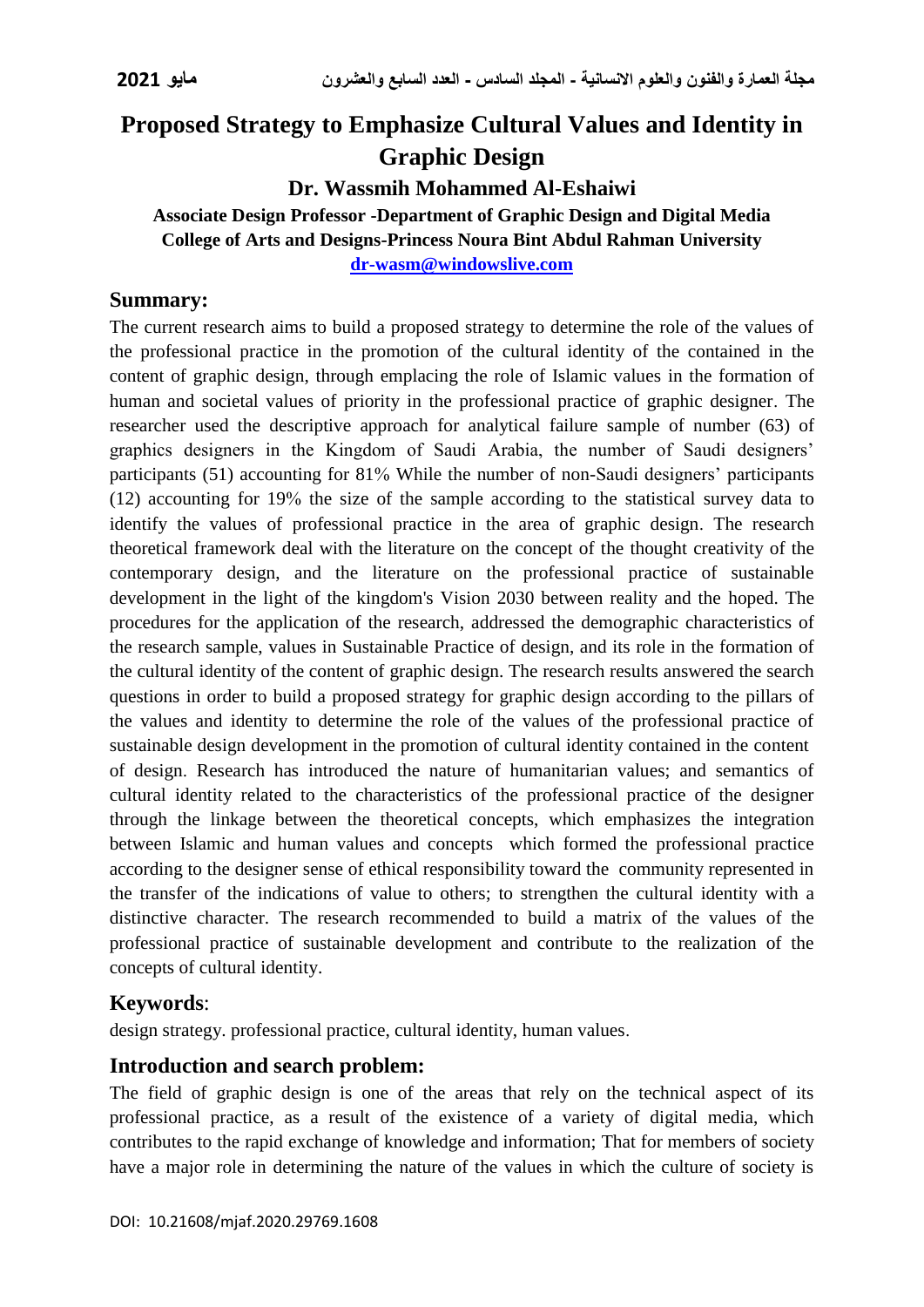# **Proposed Strategy to Emphasize Cultural Values and Identity in Graphic Design**

# **Dr. Wassmih Mohammed Al-Eshaiwi**

**Associate Design Professor -Department of Graphic Design and Digital Media College of Arts and Designs-Princess Noura Bint Abdul Rahman University [dr-wasm@windowslive.com](mailto:dr-wasm@windowslive.com)**

# **Summary:**

The current research aims to build a proposed strategy to determine the role of the values of the professional practice in the promotion of the cultural identity of the contained in the content of graphic design, through emplacing the role of Islamic values in the formation of human and societal values of priority in the professional practice of graphic designer. The researcher used the descriptive approach for analytical failure sample of number (63) of graphics designers in the Kingdom of Saudi Arabia, the number of Saudi designers' participants (51) accounting for 81% While the number of non-Saudi designers' participants (12) accounting for 19% the size of the sample according to the statistical survey data to identify the values of professional practice in the area of graphic design. The research theoretical framework deal with the literature on the concept of the thought creativity of the contemporary design, and the literature on the professional practice of sustainable development in the light of the kingdom's Vision 2030 between reality and the hoped. The procedures for the application of the research, addressed the demographic characteristics of the research sample, values in Sustainable Practice of design, and its role in the formation of the cultural identity of the content of graphic design. The research results answered the search questions in order to build a proposed strategy for graphic design according to the pillars of the values and identity to determine the role of the values of the professional practice of sustainable design development in the promotion of cultural identity contained in the content of design. Research has introduced the nature of humanitarian values; and semantics of cultural identity related to the characteristics of the professional practice of the designer through the linkage between the theoretical concepts, which emphasizes the integration between Islamic and human values and concepts which formed the professional practice according to the designer sense of ethical responsibility toward the community represented in the transfer of the indications of value to others; to strengthen the cultural identity with a distinctive character. The research recommended to build a matrix of the values of the professional practice of sustainable development and contribute to the realization of the concepts of cultural identity.

# **Keywords**:

design strategy. professional practice, cultural identity, human values.

# **Introduction and search problem:**

The field of graphic design is one of the areas that rely on the technical aspect of its professional practice, as a result of the existence of a variety of digital media, which contributes to the rapid exchange of knowledge and information; That for members of society have a major role in determining the nature of the values in which the culture of society is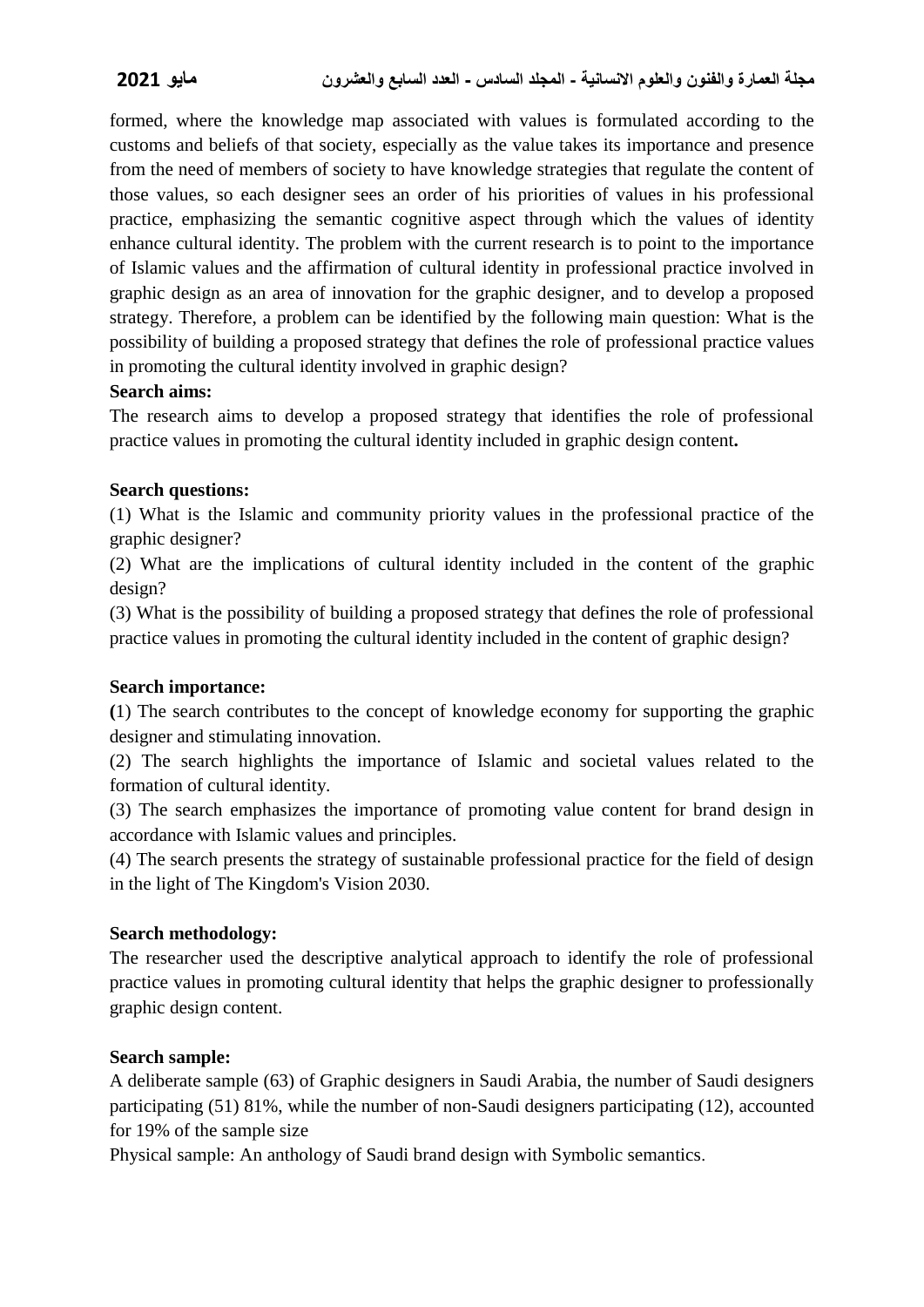formed, where the knowledge map associated with values is formulated according to the customs and beliefs of that society, especially as the value takes its importance and presence from the need of members of society to have knowledge strategies that regulate the content of those values, so each designer sees an order of his priorities of values in his professional practice, emphasizing the semantic cognitive aspect through which the values of identity enhance cultural identity. The problem with the current research is to point to the importance of Islamic values and the affirmation of cultural identity in professional practice involved in graphic design as an area of innovation for the graphic designer, and to develop a proposed strategy. Therefore, a problem can be identified by the following main question: What is the possibility of building a proposed strategy that defines the role of professional practice values in promoting the cultural identity involved in graphic design?

## **Search aims:**

The research aims to develop a proposed strategy that identifies the role of professional practice values in promoting the cultural identity included in graphic design content**.**

#### **Search questions:**

(1) What is the Islamic and community priority values in the professional practice of the graphic designer?

(2) What are the implications of cultural identity included in the content of the graphic design?

(3) What is the possibility of building a proposed strategy that defines the role of professional practice values in promoting the cultural identity included in the content of graphic design?

#### **Search importance:**

**(**1) The search contributes to the concept of knowledge economy for supporting the graphic designer and stimulating innovation.

(2) The search highlights the importance of Islamic and societal values related to the formation of cultural identity.

(3) The search emphasizes the importance of promoting value content for brand design in accordance with Islamic values and principles.

(4) The search presents the strategy of sustainable professional practice for the field of design in the light of The Kingdom's Vision 2030.

#### **Search methodology:**

The researcher used the descriptive analytical approach to identify the role of professional practice values in promoting cultural identity that helps the graphic designer to professionally graphic design content.

#### **Search sample:**

A deliberate sample (63) of Graphic designers in Saudi Arabia, the number of Saudi designers participating (51) 81%, while the number of non-Saudi designers participating (12), accounted for 19% of the sample size

Physical sample: An anthology of Saudi brand design with Symbolic semantics.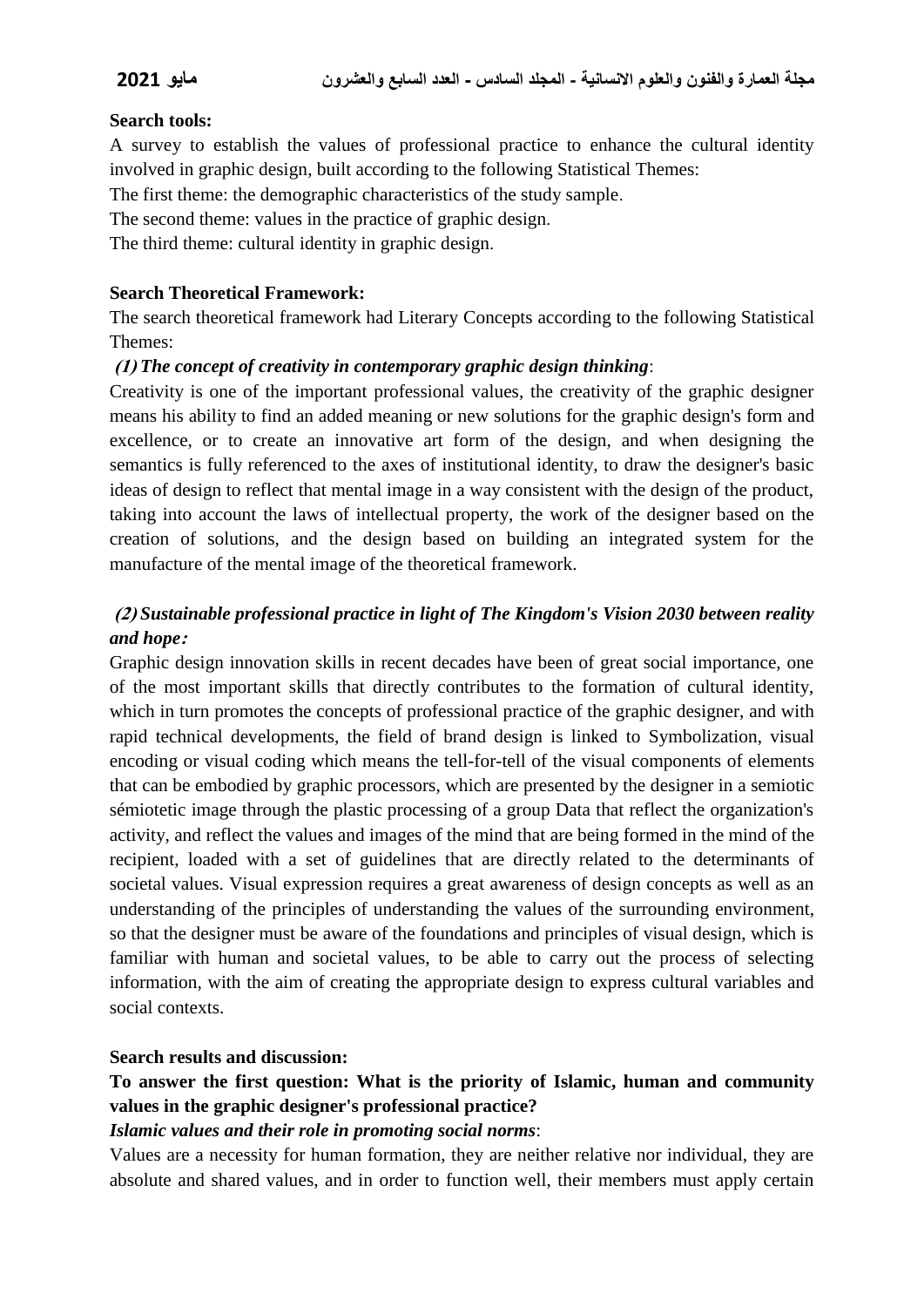#### **Search tools:**

A survey to establish the values of professional practice to enhance the cultural identity involved in graphic design, built according to the following Statistical Themes:

The first theme: the demographic characteristics of the study sample.

The second theme: values in the practice of graphic design.

The third theme: cultural identity in graphic design.

#### **Search Theoretical Framework:**

The search theoretical framework had Literary Concepts according to the following Statistical Themes:

#### **)1(** *The concept of creativity in contemporary graphic design thinking*:

Creativity is one of the important professional values, the creativity of the graphic designer means his ability to find an added meaning or new solutions for the graphic design's form and excellence, or to create an innovative art form of the design, and when designing the semantics is fully referenced to the axes of institutional identity, to draw the designer's basic ideas of design to reflect that mental image in a way consistent with the design of the product, taking into account the laws of intellectual property, the work of the designer based on the creation of solutions, and the design based on building an integrated system for the manufacture of the mental image of the theoretical framework.

# **)2(** *Sustainable professional practice in light of The Kingdom's Vision 2030 between reality and hope***:**

Graphic design innovation skills in recent decades have been of great social importance, one of the most important skills that directly contributes to the formation of cultural identity, which in turn promotes the concepts of professional practice of the graphic designer, and with rapid technical developments, the field of brand design is linked to Symbolization, visual encoding or visual coding which means the tell-for-tell of the visual components of elements that can be embodied by graphic processors, which are presented by the designer in a semiotic sémiotetic image through the plastic processing of a group Data that reflect the organization's activity, and reflect the values and images of the mind that are being formed in the mind of the recipient, loaded with a set of guidelines that are directly related to the determinants of societal values. Visual expression requires a great awareness of design concepts as well as an understanding of the principles of understanding the values of the surrounding environment, so that the designer must be aware of the foundations and principles of visual design, which is familiar with human and societal values, to be able to carry out the process of selecting information, with the aim of creating the appropriate design to express cultural variables and social contexts.

#### **Search results and discussion:**

# **To answer the first question: What is the priority of Islamic, human and community values in the graphic designer's professional practice?**

#### *Islamic values and their role in promoting social norms*:

Values are a necessity for human formation, they are neither relative nor individual, they are absolute and shared values, and in order to function well, their members must apply certain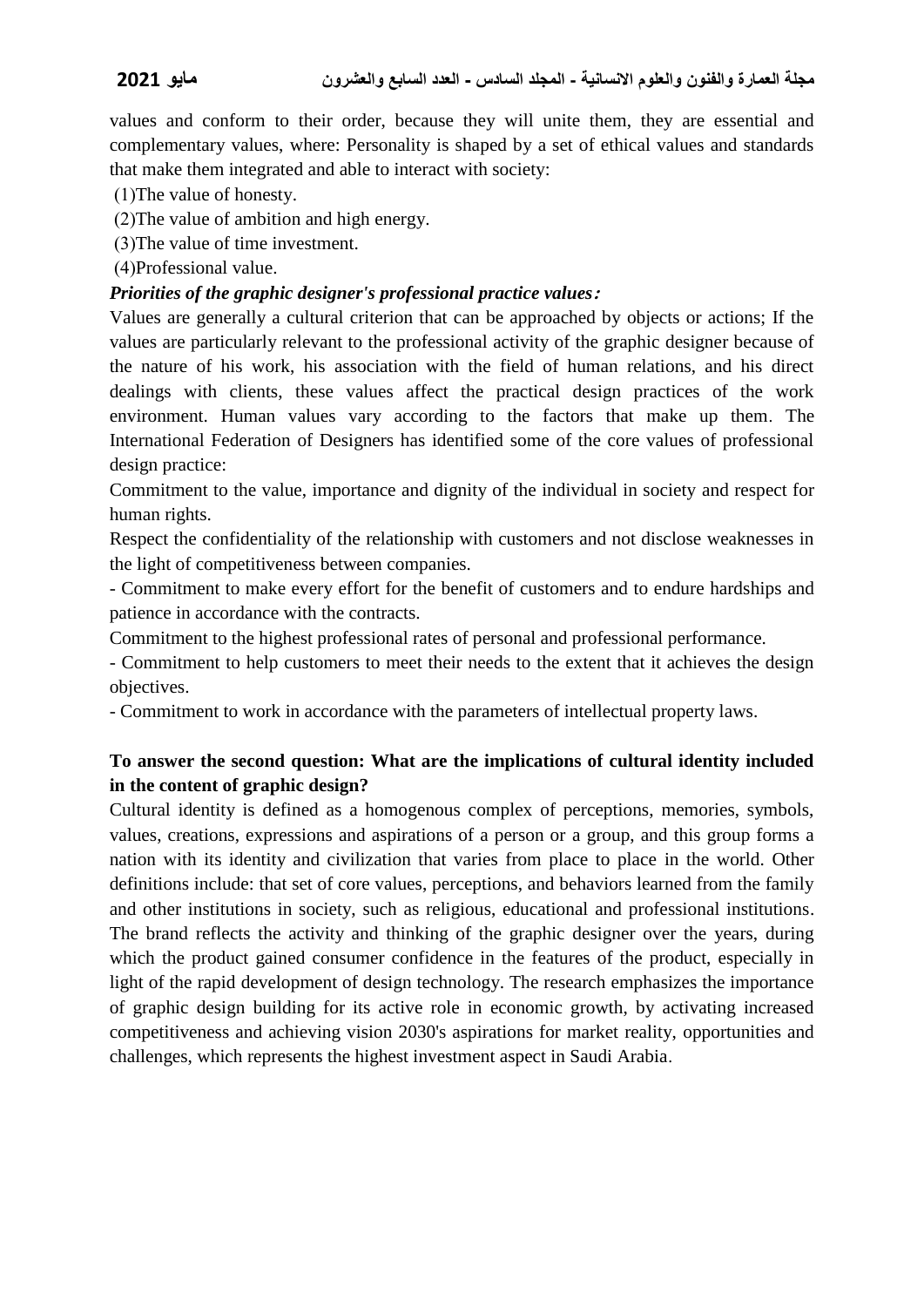values and conform to their order, because they will unite them, they are essential and complementary values, where: Personality is shaped by a set of ethical values and standards that make them integrated and able to interact with society:

 $(1)$ The value of honesty.

)2(The value of ambition and high energy.

)3(The value of time investment.

)4(Professional value.

### *Priorities of the graphic designer's professional practice values***:**

Values are generally a cultural criterion that can be approached by objects or actions; If the values are particularly relevant to the professional activity of the graphic designer because of the nature of his work, his association with the field of human relations, and his direct dealings with clients, these values affect the practical design practices of the work environment. Human values vary according to the factors that make up them. The International Federation of Designers has identified some of the core values of professional design practice:

Commitment to the value, importance and dignity of the individual in society and respect for human rights.

Respect the confidentiality of the relationship with customers and not disclose weaknesses in the light of competitiveness between companies.

- Commitment to make every effort for the benefit of customers and to endure hardships and patience in accordance with the contracts.

Commitment to the highest professional rates of personal and professional performance.

- Commitment to help customers to meet their needs to the extent that it achieves the design objectives.

- Commitment to work in accordance with the parameters of intellectual property laws.

# **To answer the second question: What are the implications of cultural identity included in the content of graphic design?**

Cultural identity is defined as a homogenous complex of perceptions, memories, symbols, values, creations, expressions and aspirations of a person or a group, and this group forms a nation with its identity and civilization that varies from place to place in the world. Other definitions include: that set of core values, perceptions, and behaviors learned from the family and other institutions in society, such as religious, educational and professional institutions. The brand reflects the activity and thinking of the graphic designer over the years, during which the product gained consumer confidence in the features of the product, especially in light of the rapid development of design technology. The research emphasizes the importance of graphic design building for its active role in economic growth, by activating increased competitiveness and achieving vision 2030's aspirations for market reality, opportunities and challenges, which represents the highest investment aspect in Saudi Arabia.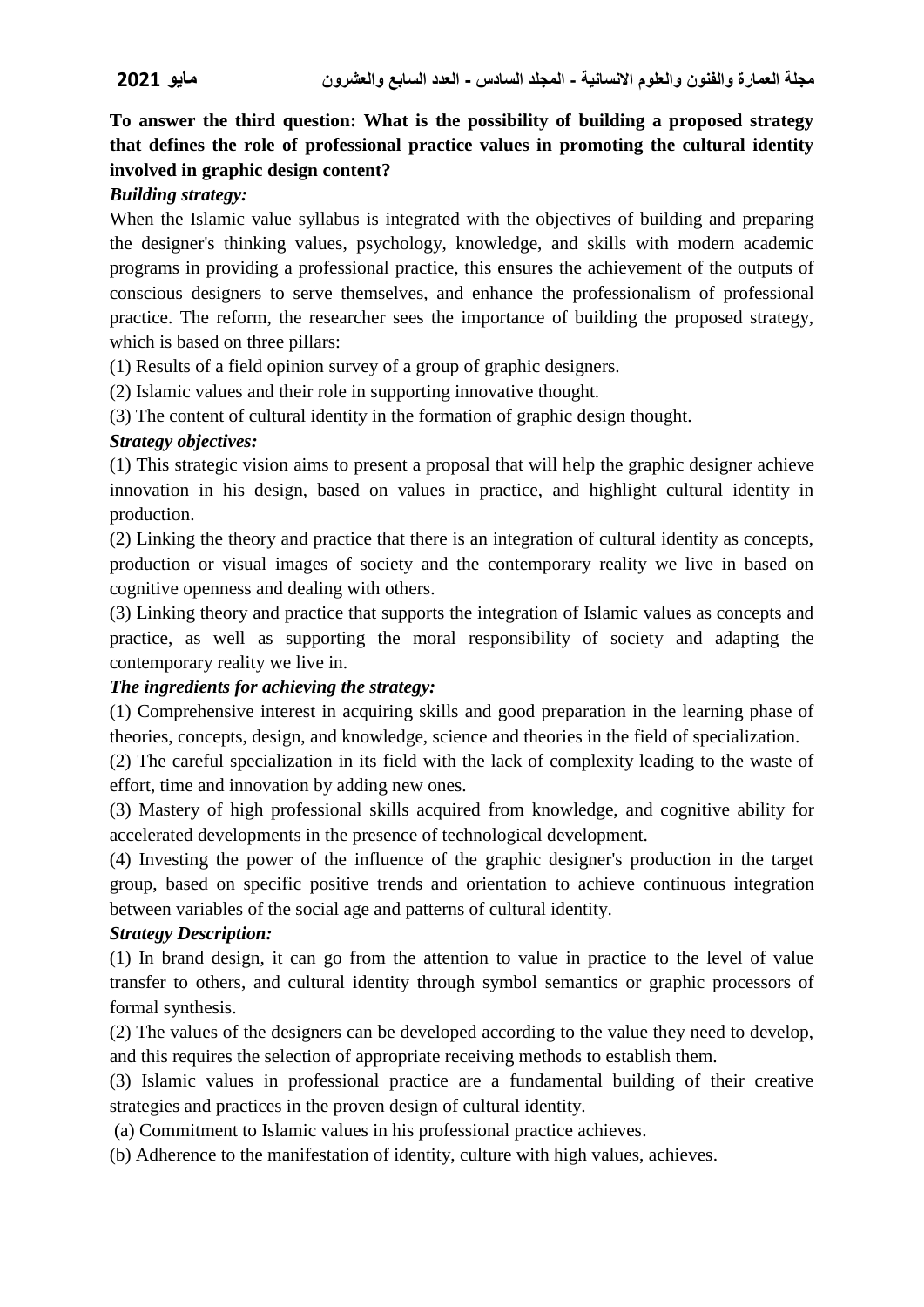**To answer the third question: What is the possibility of building a proposed strategy that defines the role of professional practice values in promoting the cultural identity involved in graphic design content?**

## *Building strategy:*

When the Islamic value syllabus is integrated with the objectives of building and preparing the designer's thinking values, psychology, knowledge, and skills with modern academic programs in providing a professional practice, this ensures the achievement of the outputs of conscious designers to serve themselves, and enhance the professionalism of professional practice. The reform, the researcher sees the importance of building the proposed strategy, which is based on three pillars:

(1) Results of a field opinion survey of a group of graphic designers.

(2) Islamic values and their role in supporting innovative thought.

(3) The content of cultural identity in the formation of graphic design thought.

## *Strategy objectives:*

(1) This strategic vision aims to present a proposal that will help the graphic designer achieve innovation in his design, based on values in practice, and highlight cultural identity in production.

(2) Linking the theory and practice that there is an integration of cultural identity as concepts, production or visual images of society and the contemporary reality we live in based on cognitive openness and dealing with others.

(3) Linking theory and practice that supports the integration of Islamic values as concepts and practice, as well as supporting the moral responsibility of society and adapting the contemporary reality we live in.

# *The ingredients for achieving the strategy:*

(1) Comprehensive interest in acquiring skills and good preparation in the learning phase of theories, concepts, design, and knowledge, science and theories in the field of specialization.

(2) The careful specialization in its field with the lack of complexity leading to the waste of effort, time and innovation by adding new ones.

(3) Mastery of high professional skills acquired from knowledge, and cognitive ability for accelerated developments in the presence of technological development.

(4) Investing the power of the influence of the graphic designer's production in the target group, based on specific positive trends and orientation to achieve continuous integration between variables of the social age and patterns of cultural identity.

# *Strategy Description:*

(1) In brand design, it can go from the attention to value in practice to the level of value transfer to others, and cultural identity through symbol semantics or graphic processors of formal synthesis.

(2) The values of the designers can be developed according to the value they need to develop, and this requires the selection of appropriate receiving methods to establish them.

(3) Islamic values in professional practice are a fundamental building of their creative strategies and practices in the proven design of cultural identity.

(a) Commitment to Islamic values in his professional practice achieves.

(b) Adherence to the manifestation of identity, culture with high values, achieves.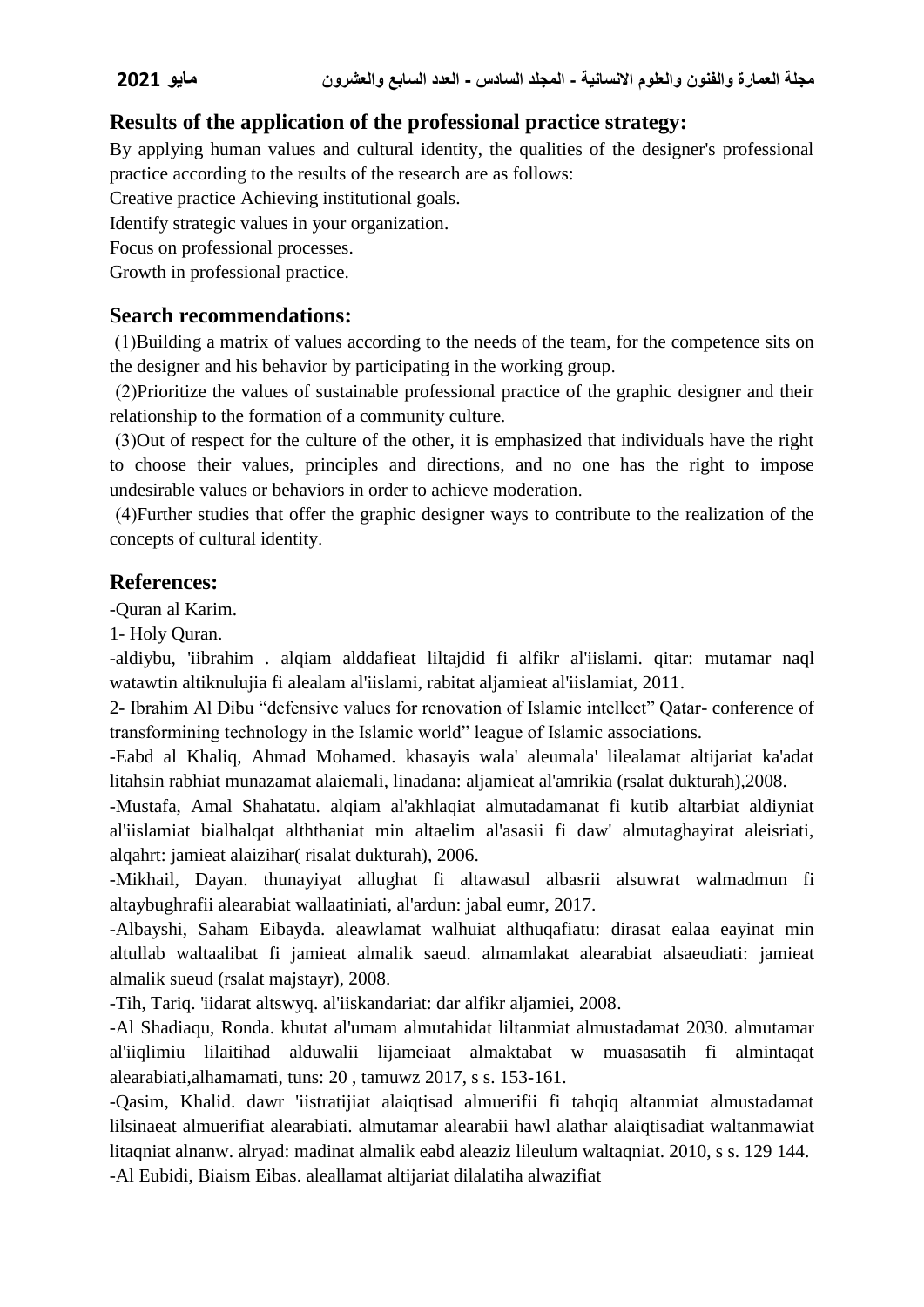# **Results of the application of the professional practice strategy:**

By applying human values and cultural identity, the qualities of the designer's professional practice according to the results of the research are as follows:

Creative practice Achieving institutional goals.

Identify strategic values in your organization.

Focus on professional processes.

Growth in professional practice.

# **Search recommendations:**

 )1(Building a matrix of values according to the needs of the team, for the competence sits on the designer and his behavior by participating in the working group.

 )2(Prioritize the values of sustainable professional practice of the graphic designer and their relationship to the formation of a community culture.

 )3(Out of respect for the culture of the other, it is emphasized that individuals have the right to choose their values, principles and directions, and no one has the right to impose undesirable values or behaviors in order to achieve moderation.

 )4(Further studies that offer the graphic designer ways to contribute to the realization of the concepts of cultural identity.

# **References:**

-Quran al Karim.

1- Holy Quran.

-aldiybu, 'iibrahim . alqiam alddafieat liltajdid fi alfikr al'iislami. qitar: mutamar naql watawtin altiknulujia fi alealam al'iislami, rabitat aljamieat al'iislamiat, 2011.

2- Ibrahim Al Dibu "defensive values for renovation of Islamic intellect" Qatar- conference of transformining technology in the Islamic world" league of Islamic associations.

-Eabd al Khaliq, Ahmad Mohamed. khasayis wala' aleumala' lilealamat altijariat ka'adat litahsin rabhiat munazamat alaiemali, linadana: aljamieat al'amrikia (rsalat dukturah),2008.

-Mustafa, Amal Shahatatu. alqiam al'akhlaqiat almutadamanat fi kutib altarbiat aldiyniat al'iislamiat bialhalqat alththaniat min altaelim al'asasii fi daw' almutaghayirat aleisriati, alqahrt: jamieat alaizihar( risalat dukturah), 2006.

-Mikhail, Dayan. thunayiyat allughat fi altawasul albasrii alsuwrat walmadmun fi altaybughrafii alearabiat wallaatiniati, al'ardun: jabal eumr, 2017.

-Albayshi, Saham Eibayda. aleawlamat walhuiat althuqafiatu: dirasat ealaa eayinat min altullab waltaalibat fi jamieat almalik saeud. almamlakat alearabiat alsaeudiati: jamieat almalik sueud (rsalat majstayr), 2008.

-Tih, Tariq. 'iidarat altswyq. al'iiskandariat: dar alfikr aljamiei, 2008.

-Al Shadiaqu, Ronda. khutat al'umam almutahidat liltanmiat almustadamat 2030. almutamar al'iiqlimiu lilaitihad alduwalii lijameiaat almaktabat w muasasatih fi almintaqat alearabiati,alhamamati, tuns: 20 , tamuwz 2017, s s. 153-161.

-Qasim, Khalid. dawr 'iistratijiat alaiqtisad almuerifii fi tahqiq altanmiat almustadamat lilsinaeat almuerifiat alearabiati. almutamar alearabii hawl alathar alaiqtisadiat waltanmawiat litaqniat alnanw. alryad: madinat almalik eabd aleaziz lileulum waltaqniat. 2010, s s. 129 144. -Al Eubidi, Biaism Eibas. aleallamat altijariat dilalatiha alwazifiat